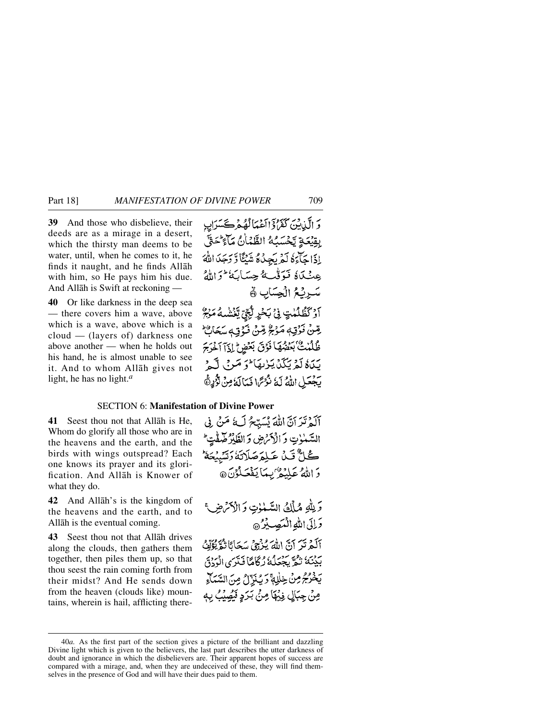**39** And those who disbelieve, their deeds are as a mirage in a desert, which the thirsty man deems to be water, until, when he comes to it, he finds it naught, and he finds Allåh with him, so He pays him his due. And Allåh is Swift at reckoning —

**40** Or like darkness in the deep sea — there covers him a wave, above which is a wave, above which is a cloud — (layers of) darkness one above another — when he holds out his hand, he is almost unable to see it. And to whom Allåh gives not light, he has no light.*<sup>a</sup>*

وَ الَّذِينَ كَفَرُدٍّ الْمَمَالُهُمْ كَسَرَابِ بقِيْعَةِ يَحْسَبُهُ الطَّمَاٰنُ مَآءٌ حَتَّى إِذَا حَاءَهُ لَمْ يَجِدُهُ شَيْئًا وَّ دَجَدَ اللَّهَ عِنْكَاهُ فَوَقْبُهُ حِسَابَهُ ۖ وَاللَّهُ سَرِنْعُ الْجِسَابِ ﴾ آوْكَظُلُمْتٍ فِي بَحْرٍ لِّجِّيِّ يَغْشْبُهُ مَنْجٌ رِّضْ فَوْقِ مَوْجٌ مِّنْ فَوْقِ سَكَانٌ ظُلُمْتٌ بَعَضْهَا فَوْقَ بَعْضِ إِذَآ أَخْرَجَ يَدَهُ لَمْ يَكَنْ يَزْيِقَا \* وَ صَرْ بِي لَيْ يَجْعَلِ اللَّهُ لَهُ نُرُّسً ا نَمَالَهُ مِنْ نُزُّرِيُّ

## SECTION 6: **Manifestation of Divine Power**

**41** Seest thou not that Allåh is He, Whom do glorify all those who are in the heavens and the earth, and the birds with wings outspread? Each one knows its prayer and its glorification. And Allåh is Knower of what they do.

**42** And Allåh's is the kingdom of the heavens and the earth, and to Allåh is the eventual coming.

**43** Seest thou not that Allåh drives along the clouds, then gathers them together, then piles them up, so that thou seest the rain coming forth from their midst? And He sends down from the heaven (clouds like) mountains, wherein is hail, afflicting there-

آلَهُ تَرَآنَّ اللَّهَ يُسَبِّحُ لَ£ُ مَنْ فِي السَّمْوٰتِ وَالْأَمْرَضِ وَالطَّارُ صَفْتٍ ݣَـلَّ قَـدْ، عَـلِمَرْصَلَاتَهُ رَتَّسَبِيْحَهُ ۖ وَ اللَّهُ عَلِيْهُمْ بِبِمَا يَفْعَلُوْنَ @

وَ لِلَّهِ مُمَلِّكُ السَّمْوٰتِ وَ الْأَكْرَضِ؟ دَاتِي اللهِ الْمُصِيدُ @ آلَهُمْ تَرَ آنَّ اللَّهَ يُزْجِيُ سَحَانًا تُقَرِّبُوَّكَ بِّدْيَنَ زَفْرٌ بِجَعَلُهُ رُكَاهًا فَتَرَى الْوَدْقَ يَخْرُجُ مِنْ خِلْلِةً وَيُنَزِّلُ مِنَ السَّمَاءِ مِنْ جِبَالٍ فِيُهَا مِنْ بَرَدٍ فَيُصِيْبُ بِهِ

<sup>40</sup>*a.* As the first part of the section gives a picture of the brilliant and dazzling Divine light which is given to the believers, the last part describes the utter darkness of doubt and ignorance in which the disbelievers are. Their apparent hopes of success are compared with a mirage, and, when they are undeceived of these, they will find themselves in the presence of God and will have their dues paid to them.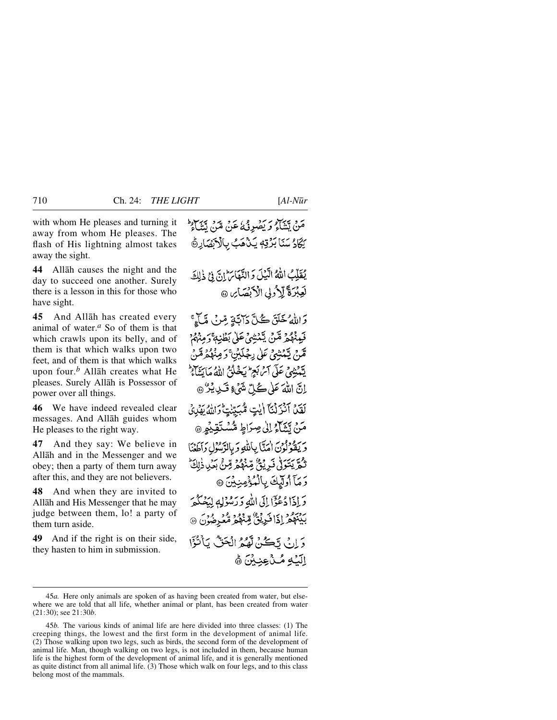with whom He pleases and turning it away from whom He pleases. The flash of His lightning almost takes away the sight.

**44** Allåh causes the night and the day to succeed one another. Surely there is a lesson in this for those who have sight.

**45** And Allåh has created every animal of water.*<sup>a</sup>* So of them is that which crawls upon its belly, and of them is that which walks upon two feet, and of them is that which walks upon four.*<sup>b</sup>* Allåh creates what He pleases. Surely Allåh is Possessor of power over all things.

**46** We have indeed revealed clear messages. And Allåh guides whom He pleases to the right way.

**47** And they say: We believe in Allåh and in the Messenger and we obey; then a party of them turn away after this, and they are not believers.

**48** And when they are invited to Allåh and His Messenger that he may judge between them, lo! a party of them turn aside.

**49** And if the right is on their side, they hasten to him in submission.

مَنْ يَتَنَاءُ وَ يَصْرِئْ عَنْ مَنْ قِنِ يَتَبَاءُ يَكَادُ سَنَا بَرُقِهِ يَـٰذُهَبُ بِالْآيَضَارِةُ

يُقَلِّبُ اللَّهُ الَّيْلَ وَ النَّهَا لِنَّ إِنَّ فِي ذٰلِكَ لَعِبْرَةَ لِلْأُولِ الْأَبْصَائِنَ

دَاللَّهُ خَلَقَ كُلَّ دَاتَةٍ مِّينَ مَّيَاءً ۚ فَيِمْهُمْ مِّنْ يِّمْشِيْءَ عَلَىٰ بَطْنِهِ ۚ رَمِيْهُمْ ۚ قَدْمْ يَتَمَنْيُنِي عَلَى بِجُلَيْنَ ۚ دَ مِنْهُمْ مَّنْ يَسْنِثْهِيَ عَلَى آمْ بَعِ ۖ يَخْلُوْبُ اللَّهُ مَا بَيِّنَاءُ ۖ اِنَّ اللَّهَ عَلَى كُلِّ شَيْءٍ قَسْدِيْرٌ @ لَقِينَ آنزَلْنَآ الَّيْتِ مُّهَبِيّنْتِ وَاللَّهُ يَهْدِئُ مَنْ تَشَاءُ إِلَىٰ صِرَاطٍ مُّسْتَقِيْهِمِ @ ويقولون امتابالله وبالدَّسُول وأطعنا ثَّكْرٌ يَتَوَلَّىٰ فَبِرِيْةٍ ۗ مِّنْهُمْ مِّنْ بِكَيْبِ ذٰلِكَ رَمَآ أُولِّيْكَ بِالْمُؤْمِنِيْنَ ۞ وَ إِذَا دُعْوًا إِلَى اللَّهِ وَرَسُوْلِهِ لِيَصْكُمَ بِينَهُمْ إِذَا فَرِيْنٌ مِّنْهُمْ مُّعْرِضُوْنَ ۞ دَ إِنَّ قَاكِمٌ لَّهُمُ الْحَقُّ بِٱنْتَزَا الِّيْهِ مُـٰٓدُعِنِيْنَ ﴾

<sup>45</sup>*a.* Here only animals are spoken of as having been created from water, but elsewhere we are told that all life, whether animal or plant, has been created from water (21:30); see 21:30*b*.

<sup>45</sup>*b.* The various kinds of animal life are here divided into three classes: (1) The creeping things, the lowest and the first form in the development of animal life. (2) Those walking upon two legs, such as birds, the second form of the development of animal life. Man, though walking on two legs, is not included in them, because human life is the highest form of the development of animal life, and it is generally mentioned as quite distinct from all animal life. (3) Those which walk on four legs, and to this class belong most of the mammals.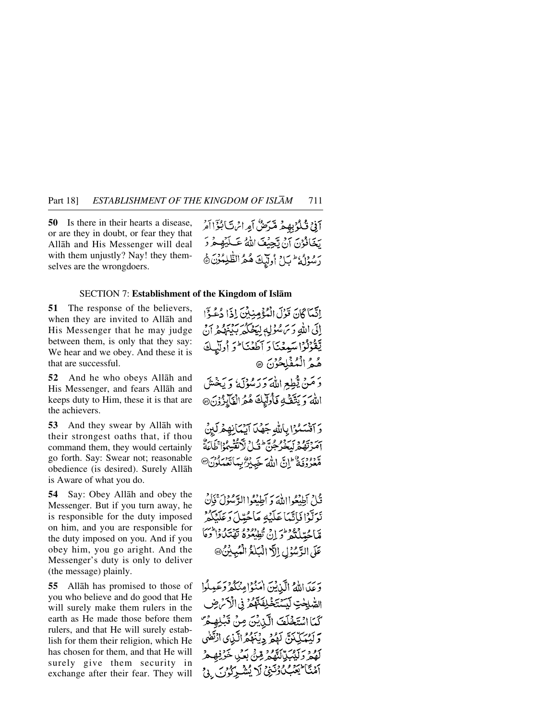**50** Is there in their hearts a disease, or are they in doubt, or fear they that Allåh and His Messenger will deal with them unjustly? Nay! they themselves are the wrongdoers.

آفِيْ قُلْوُبِهِمْ مِّدَضُّ آمِراسْ تَأْبُؤَاآمُ يَخَافُوْنَ آنْ تَجِبُّفَ اللَّهُ عَبِلَيْهِ هُرُ دَ رسُوْلُهُ عَبَلْ أُولِّيكَ هُمُ الظَّلِمُوْنَ هَ

إِنَّمَا كَانَ قَوْلَ الْمُؤْمِنِينَ إِذَا دُعُهُ؟

## SECTION 7: **Establishment of the Kingdom of Islåm**

**51** The response of the believers, when they are invited to Allåh and His Messenger that he may judge between them, is only that they say: We hear and we obey. And these it is that are successful.

**52** And he who obeys Allåh and His Messenger, and fears Allåh and keeps duty to Him, these it is that are the achievers.

**53** And they swear by Allåh with their strongest oaths that, if thou command them, they would certainly go forth. Say: Swear not; reasonable obedience (is desired). Surely Allåh is Aware of what you do.

**54** Say: Obey Allåh and obey the Messenger. But if you turn away, he is responsible for the duty imposed on him, and you are responsible for the duty imposed on you. And if you obey him, you go aright. And the Messenger's duty is only to deliver (the message) plainly.

**55** Allåh has promised to those of you who believe and do good that He will surely make them rulers in the earth as He made those before them rulers, and that He will surely establish for them their religion, which He has chosen for them, and that He will surely give them security in exchange after their fear. They will

الی الله و س مُؤلِّه لیَجْگُه بِدْیُوم دینی يَقْرُلُوْاسَيِعْنَا وَ آطَعْنَا وَ أُولَيْكَ هُمُ الْمُفْلِحُوْنَ ۞ وَمَنْ يُطِعِ اللَّهَ وَرَسُوْلَهُ وَيَخْشَ اللهُ وَيَتَّقَّهُ فَأُولِّيكَ هُمُّ الْفَأْيِزُوْنَ@ وَ اَنْسَكُوْا بِاللَّهِ جَهْدَ آيْهَانِهِمْرَكِينَ آمَرْتَهُمْ لَيَحْرَجُنَّ ۖ فَيْلُ لَٱتْقُبِيمُوْا كَلَائَةُ ر دود و اس الله خيد و .<br>معروفة إن الله خيد و بهاتغهادن@ قُاحِ أَطِيْعُوااللَّهَ وَ أَطِيْعُوا الرَّسُوْلَ ۚ فَإِنَّ نَوَتَوْا فَاتَّبَا عَلَيْهِ مَاجُدِّلَ وَعَلَيْكُمْ

قالحتلله ووطرن تطيعوه توسع والمس عَلَى الدَّسْوُلِ إِلَّا الْبَلْغُ الْمُبِينُ@

وَعَدَ اللَّهُ الَّيْنِينَ امْنُوْامِنْكُمْ وَعَيْلُوا الصُّلِحْتِ لَيَسَتَخَلِّفَنَّهُمْ فِي الْأَكْرَضِ كَمَا اسْتَخْلَفَ الَّذِيْنَ مِنْ قَبْلِهِمْ وَكَبِيْبَكِيْنَ لَهُمْ دِيْنَهُمُّ الَّذِي ادْتَفٰي كَهُمْ وَلَيْبَكِّلَّلَّهُمْ مِّنَّ بَعَٰنٍ خَرْفِهِمْ أَمْنَا يَحْمَى وُنَيْنِ لَا يُشْرِكُونَ إِنْ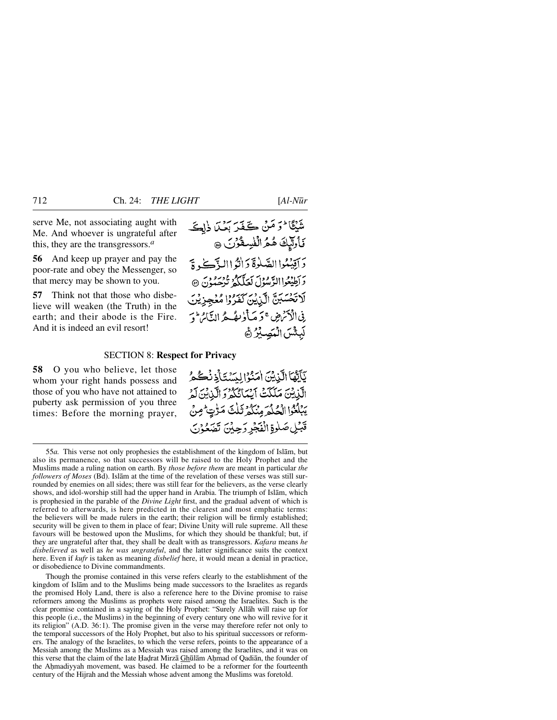serve Me, not associating aught with Me. And whoever is ungrateful after this, they are the transgressors.*<sup>a</sup>*

**56** And keep up prayer and pay the poor-rate and obey the Messenger, so that mercy may be shown to you.

**57** Think not that those who disbelieve will weaken (the Truth) in the earth; and their abode is the Fire. And it is indeed an evil resort!

شَيْئًا وَ مَنْ كَفَرَ بَعْدَا ذٰلِكَ قَاْوَلِّيْكَ هُمُ الْفُسِعْوُنَ ۞ دَ الِيَّبُوا الصَّلْوَةَ دَ الزَّا الزَّكْرِةَ وَ أَطِيعُوا الدَّمْدُولَ لَعَلَّكُمُ تَوْصَدُنَ ۞ لَاتَحْسَبَنَّ الَّزِيْنَ كَفَرُوْا مُعْجِزِيْنَ فِى الْأَنْهِضِ يَحَمَّلْ لِمُكْتُمٌ النَّامُ لَوَ لَبِثْسَ الْمَصِيْرُ ﴾

## SECTION 8: **Respect for Privacy**

**58** O you who believe, let those whom your right hands possess and those of you who have not attained to puberty ask permission of you three times: Before the morning prayer,

يَأَيُّهَا الَّذِيْنَ امَنُوْا لِيَسْتَأْذِنُكُمْ الَّذِينَ مَكَكَتْ أَيْمَانُكُمْ وَالَّذِينَ لَمْ يَبْلُغُوا الْحُلُمَ مِنْكُمْ ثَلْتَ مَرّْتٍ مِنْ قَبْلِ صَلْوةِ الْفَجْرِ رَحِيْنَ تَصَعُوْنَ

Though the promise contained in this verse refers clearly to the establishment of the kingdom of Islåm and to the Muslims being made successors to the Israelites as regards the promised Holy Land, there is also a reference here to the Divine promise to raise reformers among the Muslims as prophets were raised among the Israelites. Such is the clear promise contained in a saying of the Holy Prophet: "Surely Allåh will raise up for this people (i.e., the Muslims) in the beginning of every century one who will revive for it its religion" (A.D. 36:1). The promise given in the verse may therefore refer not only to the temporal successors of the Holy Prophet, but also to his spiritual successors or reformers. The analogy of the Israelites, to which the verse refers, points to the appearance of a Messiah among the Muslims as a Messiah was raised among the Israelites, and it was on this verse that the claim of the late Hadrat Mirzā Ghūlām Ahmad of Qadiān, the founder of the Ahmadiyyah movement, was based. He claimed to be a reformer for the fourteenth century of the Hijrah and the Messiah whose advent among the Muslims was foretold.

<sup>55</sup>*a.* This verse not only prophesies the establishment of the kingdom of Islåm, but also its permanence, so that successors will be raised to the Holy Prophet and the Muslims made a ruling nation on earth. By *those before them* are meant in particular *the followers of Moses* (Bd). Islåm at the time of the revelation of these verses was still surrounded by enemies on all sides; there was still fear for the believers, as the verse clearly shows, and idol-worship still had the upper hand in Arabia. The triumph of Islåm, which is prophesied in the parable of the *Divine Light* first, and the gradual advent of which is referred to afterwards, is here predicted in the clearest and most emphatic terms: the believers will be made rulers in the earth; their religion will be firmly established; security will be given to them in place of fear; Divine Unity will rule supreme. All these favours will be bestowed upon the Muslims, for which they should be thankful; but, if they are ungrateful after that, they shall be dealt with as transgressors. *Kafara* means *he disbelieved* as well as *he was ungrateful*, and the latter significance suits the context here. Even if *kufr* is taken as meaning *disbelief* here, it would mean a denial in practice, or disobedience to Divine commandments.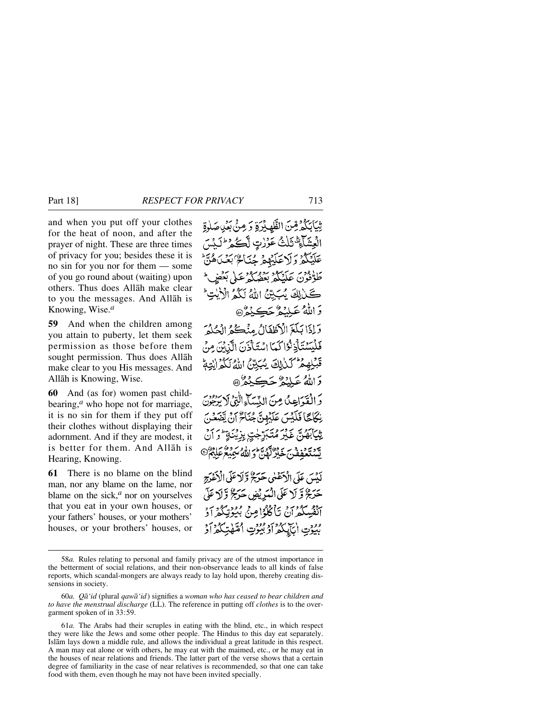and when you put off your clothes for the heat of noon, and after the prayer of night. These are three times of privacy for you; besides these it is no sin for you nor for them — some of you go round about (waiting) upon others. Thus does Allåh make clear to you the messages. And Allåh is Knowing, Wise.*<sup>a</sup>*

**59** And when the children among you attain to puberty, let them seek permission as those before them sought permission. Thus does Allåh make clear to you His messages. And Allåh is Knowing, Wise.

**60** And (as for) women past childbearing,*<sup>a</sup>* who hope not for marriage, it is no sin for them if they put off their clothes without displaying their adornment. And if they are modest, it is better for them. And Allåh is Hearing, Knowing.

**61** There is no blame on the blind man, nor any blame on the lame, nor blame on the sick,<sup>*a*</sup> nor on yourselves that you eat in your own houses, or your fathers' houses, or your mothers' houses, or your brothers' houses, or

تِيَابَكُمْ قِنَ الظَّهِبْرَةِ وَ مِنَّ بَعْيَاصَلُوةِ الْعِشَاءِ ۗ تَلْتُ عَوۡرٰتِ لَّكُمۡ ۚ ۖ وَلَٰٓ لَمَٰنَ عَلَيْكُمْ وَلَاعَلَيْهِمْ جُنَاءٌ بَعْيَاهُ طَوْفُوْنَ عَلَيْكُمْ بَعْضُكُمْ عَلَى بَعْضٍ ۖ كَنْ لِكَ يُبَيِّنُ اللَّهُ لَكُمُ الْأَيْتِ ۖ وَ اللَّهُ عَبِيْدُهُ جَڪِنِمُ هُ وَإِذَا بَلَغَ الْأَطْفَالُ مِنْكُمُ الْحُلُوَ فَلَيْسَتَأْذِنُوْا كَمَا اسْتَأْذَنَ الَّذِبَ مِنْ قَبْلِهِمْ كَلَالِكَ يُبَيِّنَ اللَّهُ لَكُمُ إِنِّهِمْ دَاللَّهُ عَلَيْهُ حَڪِيْهُرُ۞ والقواعِدُ مِنَ النِّسَاءِالَّذِي لا بِدَعِن نِكَاجًا فَلَيْسَ عَلَيْهِنَّ جُنَاءٌ إِنَّ يَتَهَعْنَ شِيَابَهُنَّ غَيْرَ مُتَبَرِّجْتٍ بِزِيْنَةٍ ۖ وَ يَّة يَدْوِيْرِ مِنْ مَعَيْنِ الْمَسْتَخْلِقَ اللَّهُ سَمِيعُ عَلِيْهِمْ ١ لَدْيَ عَلَى الْآخَلُنِي حَدَبَةُ وَلَا عَلَى الْآغَدَ بِهِ حَرَجٌ وَّ لَا عَلَى الْمَدِيْضِ حَدَجٌ وَّلَا عَلَى آنفُسِكُمْ أَنْ يَأْكُلُوْا مِنْ بُيُوْتِكُمْ أَدْ بِيُوتِ الْكَيْݣُولُوبُيُوتِ الْقَهْتِكُمْ أَوْ

<sup>58</sup>*a.* Rules relating to personal and family privacy are of the utmost importance in the betterment of social relations, and their non-observance leads to all kinds of false reports, which scandal-mongers are always ready to lay hold upon, thereby creating dissensions in society.

<sup>60</sup>*a. Qå'id* (plural *qawå'id*) signifies a *woman who has ceased to bear children and to have the menstrual discharge* (LL). The reference in putting off *clothes* is to the overgarment spoken of in 33:59.

<sup>61</sup>*a.* The Arabs had their scruples in eating with the blind, etc., in which respect they were like the Jews and some other people. The Hindus to this day eat separately. Islåm lays down a middle rule, and allows the individual a great latitude in this respect. A man may eat alone or with others, he may eat with the maimed, etc., or he may eat in the houses of near relations and friends. The latter part of the verse shows that a certain degree of familiarity in the case of near relatives is recommended, so that one can take food with them, even though he may not have been invited specially.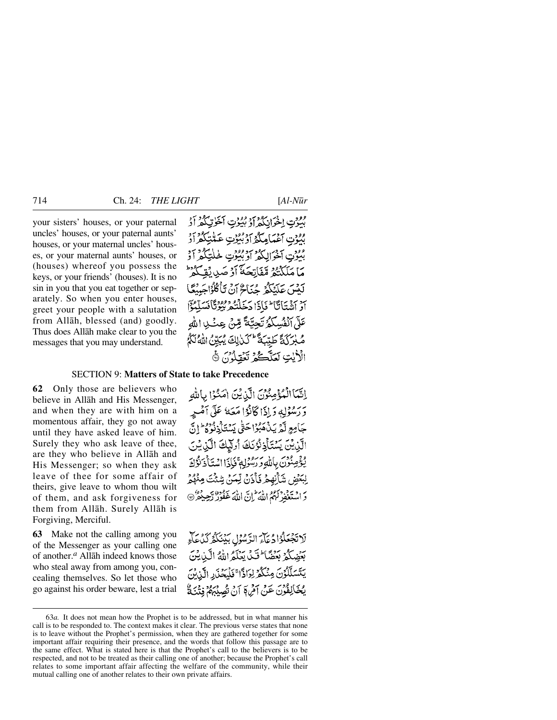your sisters' houses, or your paternal uncles' houses, or your paternal aunts' houses, or your maternal uncles' houses, or your maternal aunts' houses, or (houses) whereof you possess the keys, or your friends' (houses). It is no sin in you that you eat together or separately. So when you enter houses, greet your people with a salutation from Allåh, blessed (and) goodly. Thus does Allåh make clear to you the messages that you may understand.

مقوتِ اخْرَانِكُمْ أَوْ بُيُوتِ أَخْرِتِكُمْ أَدْ مْنُوْتِ آَغْيَاهِكُمْ أَوْبُنُوْتٍ عَبَّلْتِكُمْ أَدْ بْنُوْتِ آخْوَالِكُمْ أَوْبَيُوْتٍ خَلْتِكُمْ أَدْ مَا مَلَكَنُهُمْ قَفَاتِحَهُ أَدْ صَدِيقَ لَكْتُبَ عَلَيْكُمْ حُيَاجٌ أَنْ تَأْكُلُوْاجَيْنَغَا أَوْ أَنْفَتَأَتَّآ ۖ فَأَذَا دَخَلْنُكُمْ بُبُوْتًاْفَدَ عَلَّى أَنْفُسِكُمُ تَجِيَّةً مِّنْ عِثْبِي الله صُبْرَكَةً طَيِّبَةً لَكَنْ لِكَ يُبَيِّنُ اللَّهُ لَكُمُ الْأَيْتِ لَعَلَّكُمْ تَعْقَلُوْنَ ﴾

## SECTION 9: **Matters of State to take Precedence**

**62** Only those are believers who believe in Allåh and His Messenger, and when they are with him on a momentous affair, they go not away until they have asked leave of him. Surely they who ask leave of thee, are they who believe in Allåh and His Messenger; so when they ask leave of thee for some affair of theirs, give leave to whom thou wilt of them, and ask forgiveness for them from Allåh. Surely Allåh is Forgiving, Merciful.

**63** Make not the calling among you of the Messenger as your calling one of another.*<sup>a</sup>* Allåh indeed knows those who steal away from among you, concealing themselves. So let those who go against his order beware, lest a trial

إِنَّمَا الْمُؤْمِنُوْنَ الَّذِيْنَ امَنُوْا بِاللَّهِ وَرَسْوْلِهِ دَادَا كَانُوْا مَعَهُ عَلَى آمُيرِ جَامِعِ لَّهُ بَدْهَبُوْاحَقُّ بَسْتَأْذِدُّوهُ إِنَّ الَّذِيْنَ يَسْتَأْذِنُوْنَكَ أُولَيْكَ الَّذِيْنَ يُؤْمِنُونَ بِاللَّهِ وَرَسُولِهِ ثَلَاًّذَا اسْتَأْذَلُوْكَ لِبَعْضٍ شَأْنِهِمْ ذَأْذَنَّ لِّعَنَّ شِئْتَ مِنْهُمْ دَ الْمَتَغَفَّرْ لَهُمُ اللَّهَ إِنَّ اللَّهَ غَفُورٌ رَّحِيدُهُ ۖ @

لَاتَجْعَلُوْادُعَاءَ الرَّسُولِ بَيْنَكُمُّ كَدُعَاءِ بَعَضِكُمُ بَعَضًا ۖ فَيَ يَعْلَمُ اللَّهُ الَّذِينَ يَتَسَلَّلُوُنَ مِنْكُمْ لِرَادًّا ۚ فَلْيَحۡذَرِ الَّذِينَ يْحَالِفُونَ عَنْ آمْرِيمَ آنْ تَصِيْبِهِمْ فِتْنَةٌ

<sup>63</sup>*a.* It does not mean how the Prophet is to be addressed, but in what manner his call is to be responded to. The context makes it clear. The previous verse states that none is to leave without the Prophet's permission, when they are gathered together for some important affair requiring their presence, and the words that follow this passage are to the same effect. What is stated here is that the Prophet's call to the believers is to be respected, and not to be treated as their calling one of another; because the Prophet's call relates to some important affair affecting the welfare of the community, while their mutual calling one of another relates to their own private affairs.